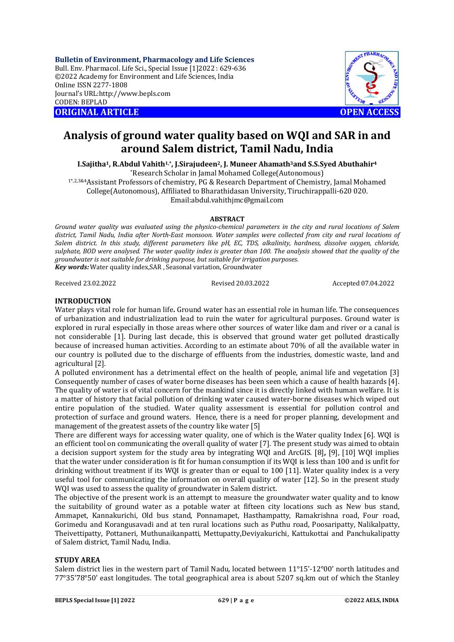**Bulletin of Environment, Pharmacology and Life Sciences** Bull. Env. Pharmacol. Life Sci., Special Issue [1]2022 : 629-636 ©2022 Academy for Environment and Life Sciences, India Online ISSN 2277-1808 Journal's URL:<http://www.bepls.com> CODEN: BEPLAD **ORIGINAL ARTICLE OPEN ACCESS** 



# **Analysis of ground water quality based on WQI and SAR in and around Salem district, Tamil Nadu, India**

**I.Sajitha1, R.Abdul Vahith1,\*, J.Sirajudeen2, J. Muneer Ahamath3and S.S.Syed Abuthahir<sup>4</sup>** \*Research Scholar in Jamal Mohamed College(Autonomous)

1\*,2,3&4Assistant Professors of chemistry, PG & Research Department of Chemistry, Jamal Mohamed College(Autonomous), Affiliated to Bharathidasan University, Tiruchirappalli-620 020. [Email:abdul.vahithjmc@gmail.com](mailto:Email:abdul.vahithjmc@gmail.com)

## **ABSTRACT**

*Ground water quality was evaluated using the physico-chemical parameters in the city and rural locations of Salem district, Tamil Nadu, India after North-East monsoon. Water samples were collected from city and rural locations of Salem district. In this study, different parameters like pH, EC, TDS, alkalinity, hardness, dissolve oxygen, chloride, sulphate, BOD were analysed. The water quality index is greater than 100. The analysis showed that the quality of the groundwater is not suitable for drinking purpose, but suitable for irrigation purposes. Key words:* Water quality index,SAR , Seasonal variation, Groundwater

Received 23.02.2022 Revised 20.03.2022 Accepted 07.04.2022

## **INTRODUCTION**

Water plays vital role for human life**.** Ground water has an essential role in human life. The consequences of urbanization and industrialization lead to ruin the water for agricultural purposes. Ground water is explored in rural especially in those areas where other sources of water like dam and river or a canal is not considerable [1]. During last decade, this is observed that ground water get polluted drastically because of increased human activities. According to an estimate about 70% of all the available water in our country is polluted due to the discharge of effluents from the industries, domestic waste, land and agricultural [2].

A polluted environment has a detrimental effect on the health of people, animal life and vegetation [3] Consequently number of cases of water borne diseases has been seen which a cause of health hazards [4]. The quality of water is of vital concern for the mankind since it is directly linked with human welfare. It is a matter of history that facial pollution of drinking water caused water-borne diseases which wiped out entire population of the studied. Water quality assessment is essential for pollution control and protection of surface and ground waters. Hence, there is a need for proper planning, development and management of the greatest assets of the country like water [5]

There are different ways for accessing water quality, one of which is the Water quality Index [6]. WQI is an efficient tool on communicating the overall quality of water [7]. The present study was aimed to obtain a decision support system for the study area by integrating WQI and ArcGIS. [8]**,** [9], [10] WQI implies that the water under consideration is fit for human consumption if its WQI is less than 100 and is unfit for drinking without treatment if its WQI is greater than or equal to 100 [11]. Water quality index is a very useful tool for communicating the information on overall quality of water [12]. So in the present study WOI was used to assess the quality of groundwater in Salem district.

The objective of the present work is an attempt to measure the groundwater water quality and to know the suitability of ground water as a potable water at fifteen city locations such as New bus stand, Ammapet, Kannakurichi, Old bus stand, Ponnamapet, Hasthampatty, Ramakrishna road, Four road, Gorimedu and Korangusavadi and at ten rural locations such as Puthu road, Poosaripatty, Nalikalpatty, Theivettipatty, Pottaneri, Muthunaikanpatti, Mettupatty,Deviyakurichi, Kattukottai and Panchukalipatty of Salem district, Tamil Nadu, India.

#### **STUDY AREA**

Salem district lies in the western part of Tamil Nadu, located between 11°15'-12°00' north latitudes and 77°35'78°50' east longitudes. The total geographical area is about 5207 sq.km out of which the Stanley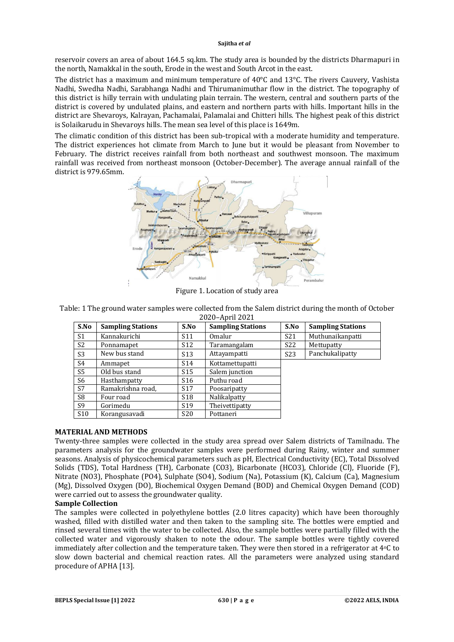reservoir covers an area of about 164.5 sq.km. The study area is bounded by the districts Dharmapuri in the north, Namakkal in the south, Erode in the west and South Arcot in the east.

The district has a maximum and minimum temperature of  $40^{\circ}$ C and 13 $^{\circ}$ C. The rivers Cauvery, Vashista Nadhi, Swedha Nadhi, Sarabhanga Nadhi and Thirumanimuthar flow in the district. The topography of this district is hilly terrain with undulating plain terrain. The western, central and southern parts of the district is covered by undulated plains, and eastern and northern parts with hills. Important hills in the district are Shevaroys, Kalrayan, Pachamalai, Palamalai and Chitteri hills. The highest peak of this district is Solaikarudu in Shevaroys hills. The mean sea level of this place is 1649m.

The climatic condition of this district has been sub-tropical with a moderate humidity and temperature. The district experiences hot climate from March to June but it would be pleasant from November to February. The district receives rainfall from both northeast and southwest monsoon. The maximum rainfall was received from northeast monsoon (October-December). The average annual rainfall of the district is 979.65mm.



Figure 1. Location of study area

Table: 1 The ground water samples were collected from the Salem district during the month of October 2020–April 2021

| S.No            | <b>Sampling Stations</b> | S.No            | <b>Sampling Stations</b> | S.No            | <b>Sampling Stations</b> |
|-----------------|--------------------------|-----------------|--------------------------|-----------------|--------------------------|
| S <sub>1</sub>  | Kannakurichi             | S <sub>11</sub> | Omalur                   | S <sub>21</sub> | Muthunaikanpatti         |
| S <sub>2</sub>  | Ponnamapet               | S <sub>12</sub> | Taramangalam             | S <sub>22</sub> | Mettupatty               |
| S <sub>3</sub>  | New bus stand            | S <sub>13</sub> | Attayampatti             | S <sub>23</sub> | Panchukalipatty          |
| S4              | Ammapet                  | S <sub>14</sub> | Kottamettupatti          |                 |                          |
| S <sub>5</sub>  | Old bus stand            | S <sub>15</sub> | Salem junction           |                 |                          |
| S6              | Hasthampatty             | S <sub>16</sub> | Puthu road               |                 |                          |
| S7              | Ramakrishna road,        | S <sub>17</sub> | Poosaripatty             |                 |                          |
| S <sub>8</sub>  | Four road                | S <sub>18</sub> | Nalikalpatty             |                 |                          |
| S <sub>9</sub>  | Gorimedu                 | S <sub>19</sub> | Theivettipatty           |                 |                          |
| S <sub>10</sub> | Korangusavadi            | S <sub>20</sub> | Pottaneri                |                 |                          |

# **MATERIAL AND METHODS**

Twenty-three samples were collected in the study area spread over Salem districts of Tamilnadu. The parameters analysis for the groundwater samples were performed during Rainy, winter and summer seasons. Analysis of physicochemical parameters such as pH, Electrical Conductivity (EC), Total Dissolved Solids (TDS), Total Hardness (TH), Carbonate (CO3), Bicarbonate (HCO3), Chloride (Cl), Fluoride (F), Nitrate (NO3), Phosphate (PO4), Sulphate (SO4), Sodium (Na), Potassium (K), Calcium (Ca), Magnesium (Mg), Dissolved Oxygen (DO), Biochemical Oxygen Demand (BOD) and Chemical Oxygen Demand (COD) were carried out to assess the groundwater quality.

# **Sample Collection**

The samples were collected in polyethylene bottles (2.0 litres capacity) which have been thoroughly washed, filled with distilled water and then taken to the sampling site. The bottles were emptied and rinsed several times with the water to be collected. Also, the sample bottles were partially filled with the collected water and vigorously shaken to note the odour. The sample bottles were tightly covered immediately after collection and the temperature taken. They were then stored in a refrigerator at  $4^{\circ}$ C to slow down bacterial and chemical reaction rates. All the parameters were analyzed using standard procedure of APHA [13].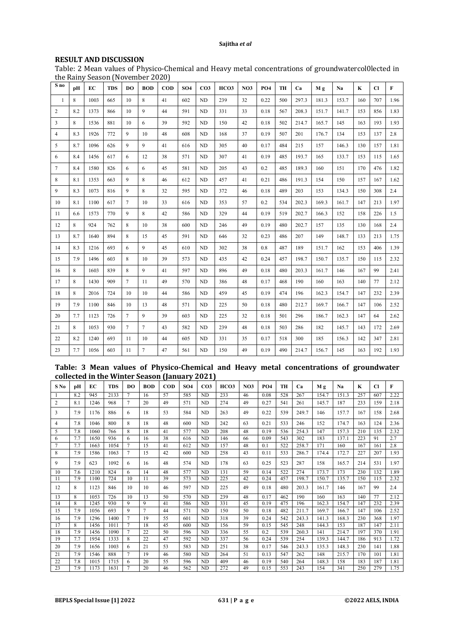### **RESULT AND DISCUSSION**

Table: 2 Mean values of Physico-Chemical and Heavy metal concentrations of groundwatercol0lected in the Rainy Season (November 2020)

| S no           | pH  | EC   | <b>TDS</b> | DO             | <b>BOD</b>     | <b>COD</b> | <b>SO4</b> | CO <sub>3</sub> | HCO3 | NO <sub>3</sub> | PO <sub>4</sub> | TH  | Ca    | Mα    | Na    | K   | <b>CI</b> | F    |
|----------------|-----|------|------------|----------------|----------------|------------|------------|-----------------|------|-----------------|-----------------|-----|-------|-------|-------|-----|-----------|------|
| $\mathbf{1}$   | 8   | 1003 | 665        | 10             | 8              | 41         | 602        | ND              | 239  | 32              | 0.22            | 500 | 297.3 | 181.3 | 153.7 | 160 | 707       | 1.96 |
| 2              | 8.2 | 1373 | 866        | 10             | $\mathbf Q$    | 44         | 591        | ND              | 331  | 33              | 0.18            | 567 | 208.3 | 151.7 | 141.7 | 153 | 856       | 1.83 |
| 3              | 8   | 1536 | 881        | 10             | 6              | 39         | 592        | ND              | 150  | 42              | 0.18            | 502 | 214.7 | 165.7 | 145   | 163 | 193       | 1.93 |
| $\overline{4}$ | 83  | 1926 | 772        | 9              | 10             | 48         | 608        | ND              | 168  | 37              | 0.19            | 507 | 201   | 176.7 | 134   | 153 | 137       | 2.8  |
| 5              | 8.7 | 1096 | 626        | 9              | 9              | 41         | 616        | <b>ND</b>       | 305  | 40              | 0.17            | 484 | 215   | 157   | 146.3 | 130 | 157       | 1.81 |
| 6              | 8.4 | 1456 | 617        | 6              | 12             | 38         | 571        | <b>ND</b>       | 307  | 41              | 0.19            | 485 | 193.7 | 165   | 133.7 | 153 | 115       | 1.65 |
| 7              | 8.4 | 1580 | 826        | 6              | 6              | 45         | 581        | <b>ND</b>       | 205  | 43              | 0.2             | 485 | 189.3 | 160   | 151   | 170 | 476       | 1.82 |
| 8              | 8.1 | 1353 | 663        | 9              | 8              | 46         | 612        | <b>ND</b>       | 457  | 41              | 0.21            | 486 | 191.3 | 154   | 150   | 157 | 167       | 1.62 |
| 9              | 8.3 | 1073 | 816        | 9              | 8              | 32         | 595        | ND              | 372  | 46              | 0.18            | 489 | 203   | 153   | 134.3 | 150 | 308       | 2.4  |
| 10             | 8.1 | 1100 | 617        | $\tau$         | 10             | 33         | 616        | <b>ND</b>       | 353  | 57              | 0.2             | 534 | 202.3 | 169.3 | 161.7 | 147 | 213       | 1.97 |
| 11             | 6.6 | 1573 | 770        | 9              | 8              | 42         | 586        | ND              | 329  | 44              | 0.19            | 519 | 202.7 | 166.3 | 152   | 158 | 226       | 1.5  |
| 12             | 8   | 924  | 762        | 8              | 10             | 38         | 600        | ND              | 246  | 49              | 0.19            | 480 | 202.7 | 157   | 135   | 130 | 168       | 2.4  |
| 13             | 8.7 | 1640 | 894        | 8              | 15             | 45         | 591        | <b>ND</b>       | 646  | 32              | 0.23            | 486 | 207   | 149   | 148.7 | 133 | 213       | 1.75 |
| 14             | 8.3 | 1216 | 693        | 6              | 9              | 45         | 610        | ND              | 302  | 38              | 0.8             | 487 | 189   | 151.7 | 162   | 153 | 406       | 1.39 |
| 15             | 7.9 | 1496 | 603        | 8              | 10             | 39         | 573        | <b>ND</b>       | 435  | 42              | 0.24            | 457 | 198.7 | 150.7 | 135.7 | 150 | 115       | 2.32 |
| 16             | 8   | 1603 | 839        | 8              | 9              | 41         | 597        | <b>ND</b>       | 896  | 49              | 0.18            | 480 | 203.3 | 161.7 | 146   | 167 | 99        | 2.41 |
| 17             | 8   | 1430 | 909        | $\tau$         | 11             | 49         | 570        | ND              | 386  | 48              | 0.17            | 468 | 190   | 160   | 163   | 140 | 77        | 2.12 |
| 18             | 8   | 2016 | 724        | 10             | 10             | 44         | 586        | <b>ND</b>       | 459  | 45              | 0.19            | 474 | 196   | 162.3 | 154.7 | 147 | 232       | 2.39 |
| 19             | 7.9 | 1100 | 846        | 10             | 13             | 48         | 571        | ND              | 225  | 50              | 0.18            | 480 | 212.7 | 169.7 | 166.7 | 147 | 106       | 2.52 |
| 20             | 7.7 | 1123 | 726        | $\overline{7}$ | $\mathbf{Q}$   | 39         | 603        | ND              | 225  | 32              | 0.18            | 501 | 296   | 186.7 | 162.3 | 147 | 64        | 2.62 |
| 21             | 8   | 1053 | 930        | $\tau$         | $\overline{7}$ | 43         | 582        | <b>ND</b>       | 239  | 48              | 0.18            | 503 | 286   | 182   | 145.7 | 143 | 172       | 2.69 |
| 22             | 8.2 | 1240 | 693        | 11             | 10             | 44         | 605        | ND              | 331  | 35              | 0.17            | 518 | 300   | 185   | 156.3 | 142 | 347       | 2.81 |
| 23             | 7.7 | 1056 | 603        | 11             | $\overline{7}$ | 47         | 561        | ND              | 150  | 49              | 0.19            | 490 | 214.7 | 156.7 | 145   | 163 | 192       | 1.93 |

## **Table: 3 Mean values of Physico-Chemical and Heavy metal concentrations of groundwater collected in the Winter Season (January 2021)**

|        | v   |      |            |                 |            |            |                 |                 |      |                 |            |     |       |       |       |     |           |      |
|--------|-----|------|------------|-----------------|------------|------------|-----------------|-----------------|------|-----------------|------------|-----|-------|-------|-------|-----|-----------|------|
| $S$ No | pН  | EC   | <b>TDS</b> | DO              | <b>BOD</b> | <b>COD</b> | SO <sub>4</sub> | CO <sub>3</sub> | HCO3 | NO <sub>3</sub> | <b>PO4</b> | TH  | Ca    | Mε    | Na    | K   | <b>CI</b> | F    |
| -1     | 8.2 | 945  | 2133       | $\tau$          | 16         | 57         | 585             | ND              | 233  | 46              | 0.08       | 528 | 267   | 154.7 | 151.3 | 257 | 607       | 2.22 |
| 2      | 8.1 | 1246 | 968        | $\tau$          | 20         | 49         | 571             | ND              | 274  | 49              | 0.27       | 541 | 261   | 145.7 | 187   | 233 | 159       | 2.18 |
| 3      | 7.9 | 1176 | 886        | 6               | 18         | 53         | 584             | ND.             | 263  | 49              | 0.22       | 539 | 249.7 | 146   | 157.7 | 167 | 158       | 2.68 |
| 4      | 7.8 | 1046 | 800        | 8               | 18         | 48         | 600             | <b>ND</b>       | 242  | 63              | 0.21       | 533 | 246   | 152   | 174.7 | 163 | 124       | 2.36 |
| 5      | 7.8 | 1060 | 766        | 8               | 18         | 41         | 577             | <b>ND</b>       | 208  | 48              | 0.19       | 536 | 254.3 | 147   | 157.3 | 210 | 135       | 2.32 |
| 6      | 7.7 | 1650 | 936        | 6               | 16         | 38         | 616             | <b>ND</b>       | 146  | 66              | 0.09       | 543 | 302   | 183   | 137.1 | 223 | 91        | 2.7  |
| $\tau$ | 7.7 | 1663 | 1054       | $7\phantom{.0}$ | 15         | 41         | 612             | <b>ND</b>       | 157  | 48              | 0.1        | 522 | 258.7 | 171   | 160   | 167 | 161       | 2.8  |
| 8      | 7.9 | 1586 | 1063       | $\tau$          | 15         | 42         | 600             | <b>ND</b>       | 258  | 43              | 0.11       | 533 | 286.7 | 174.4 | 172.7 | 227 | 207       | 1.93 |
| 9      | 7.9 | 623  | 1092       | 6               | 16         | 48         | 574             | ND              | 178  | 63              | 0.25       | 523 | 287   | 158   | 165.7 | 214 | 531       | 1.97 |
| 10     | 7.6 | 1210 | 824        | 6               | 14         | 48         | 577             | ND              | 131  | 59              | 0.14       | 522 | 274   | 173.7 | 173   | 230 | 132       | 1.89 |
| 11     | 7.9 | 1100 | 724        | 10              | 11         | 39         | 573             | <b>ND</b>       | 225  | 42              | 0.24       | 457 | 198.7 | 150.7 | 135.7 | 150 | 115       | 2.32 |
| 12     | 8   | 1123 | 846        | 10              | 10         | 46         | 597             | ND              | 225  | 49              | 0.18       | 480 | 203.3 | 161.7 | 146   | 167 | 99        | 2.4  |
| 13     | 8   | 1053 | 726        | 10              | 13         | 50         | 570             | ND              | 239  | 48              | 0.17       | 462 | 190   | 160   | 163   | 140 | 77        | 2.12 |
| 14     | 8   | 1245 | 930        | 9               | 9          | 41         | 586             | ND              | 331  | 45              | 0.19       | 475 | 196   | 162.3 | 154.7 | 147 | 232       | 2.39 |
| 15     | 7.9 | 1056 | 693        | 9               | $\tau$     | 44         | 571             | <b>ND</b>       | 150  | 50              | 0.18       | 482 | 211.7 | 169.7 | 166.7 | 147 | 106       | 2.52 |
| 16     | 7.9 | 1296 | 1400       | $\tau$          | 19         | 55         | 601             | ND              | 318  | 39              | 0.24       | 542 | 243.3 | 141.3 | 168.3 | 230 | 368       | 1.97 |
| 17     | 8   | 1456 | 1011       | $\overline{7}$  | 18         | 45         | 600             | ND              | 156  | 59              | 0.15       | 545 | 248   | 144.3 | 153   | 187 | 147       | 2.11 |
| 18     | 7.9 | 1456 | 1090       | $7\phantom{.0}$ | 22         | 50         | 596             | ND.             | 336  | 55              | 0.2        | 539 | 260.3 | 141   | 214.7 | 197 | 370       | 1.91 |
| 19     | 7.7 | 1954 | 1333       | 8               | 22         | 47         | 592             | <b>ND</b>       | 337  | 56              | 0.24       | 539 | 254   | 139.3 | 144.7 | 186 | 913       | 1.72 |
| 20     | 7.9 | 1656 | 1003       | 6               | 21         | 53         | 583             | ND              | 251  | 38              | 0.17       | 546 | 243.3 | 135.3 | 148.3 | 230 | 141       | 1.88 |
| 21     | 7.9 | 1546 | 888        | $\overline{7}$  | 19         | 46         | 580             | ND.             | 264  | 51              | 0.13       | 547 | 262   | 148   | 215.7 | 170 | 101       | 1.81 |
| 22     | 7.8 | 1015 | 1715       | 6               | 20         | 55         | 596             | ND.             | 409  | 46              | 0.19       | 540 | 264   | 148.3 | 158   | 183 | 187       | 1.81 |
| 23     | 7.9 | 1173 | 1631       | $7\phantom{.0}$ | 20         | 46         | 562             | ND              | 272  | 49              | 0.15       | 553 | 243   | 154   | 341   | 250 | 279       | 1.75 |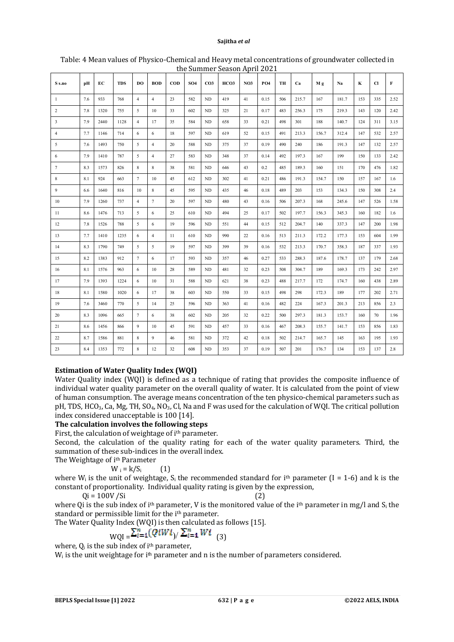|                  |     |      |            |                 |                |            |                 |                 | the Jummer Deason riprir 2021 |                 |            |     |       |       |       |     |     |              |
|------------------|-----|------|------------|-----------------|----------------|------------|-----------------|-----------------|-------------------------------|-----------------|------------|-----|-------|-------|-------|-----|-----|--------------|
| S s.no           | pН  | EС   | <b>TDS</b> | DO.             | <b>BOD</b>     | <b>COD</b> | SO <sub>4</sub> | CO <sub>3</sub> | HCO3                          | NO <sub>3</sub> | <b>PO4</b> | TH  | Ca    | Mg    | Na    | K   | Cl  | $\mathbf{F}$ |
| $\mathbf{1}$     | 7.6 | 933  | 768        | $\overline{4}$  | $\overline{4}$ | 23         | 582             | ND              | 419                           | 41              | 0.15       | 506 | 215.7 | 167   | 181.7 | 153 | 335 | 2.52         |
| $\overline{2}$   | 7.8 | 1320 | 755        | 5               | 10             | 33         | 602             | $\rm ND$        | 325                           | 21              | 0.17       | 483 | 256.3 | 175   | 219.3 | 143 | 120 | 2.42         |
| $\mathbf{3}$     | 7.9 | 2440 | 1128       | $\overline{4}$  | 17             | 35         | 584             | ND              | 658                           | 33              | 0.21       | 498 | 301   | 188   | 140.7 | 124 | 311 | 3.15         |
| $\overline{4}$   | 7.7 | 1146 | 714        | 6               | 6              | 18         | 597             | ND              | 619                           | 52              | 0.15       | 491 | 213.3 | 156.7 | 312.4 | 147 | 532 | 2.57         |
| 5                | 7.6 | 1493 | 750        | 5               | $\overline{4}$ | 20         | 588             | ND              | 375                           | 37              | 0.19       | 490 | 240   | 186   | 191.3 | 147 | 132 | 2.57         |
| $\sqrt{6}$       | 7.9 | 1410 | 787        | 5               | $\overline{4}$ | 27         | 583             | ND              | 348                           | 37              | 0.14       | 492 | 197.3 | 167   | 199   | 150 | 133 | 2.42         |
| $\boldsymbol{7}$ | 8.3 | 1573 | 826        | $\,$ 8 $\,$     | 8              | 38         | 581             | ND              | 646                           | 43              | 0.2        | 485 | 189.3 | 160   | 151   | 170 | 476 | 1.82         |
| $\,$ 8 $\,$      | 8.1 | 924  | 663        | $7\phantom{.0}$ | 10             | 45         | 612             | ND              | 302                           | 41              | 0.21       | 486 | 191.3 | 154.7 | 150   | 157 | 167 | 1.6          |
| $\overline{9}$   | 6.6 | 1640 | 816        | 10              | $\,$ 8 $\,$    | 45         | 595             | ND              | 435                           | 46              | 0.18       | 489 | 203   | 153   | 134.3 | 150 | 308 | 2.4          |
| $10\,$           | 7.9 | 1260 | 737        | $\overline{4}$  | $\tau$         | 20         | 597             | ND              | 480                           | 43              | 0.16       | 506 | 207.3 | 168   | 245.6 | 147 | 526 | 1.58         |
| 11               | 8.6 | 1476 | 713        | $\sqrt{5}$      | 6              | 25         | 610             | $\rm ND$        | 494                           | 25              | 0.17       | 502 | 197.7 | 156.3 | 345.3 | 160 | 182 | 1.6          |
| $12\,$           | 7.8 | 1526 | 788        | 5               | 6              | 19         | 596             | ND              | 551                           | 44              | 0.15       | 512 | 204.7 | 140   | 337.3 | 147 | 200 | 1.98         |
| 13               | 7.7 | 1410 | 1235       | $\sqrt{6}$      | $\overline{4}$ | 11         | 610             | ND              | 990                           | 22              | 0.16       | 513 | 211.3 | 172.2 | 177.3 | 153 | 604 | 1.99         |
| 14               | 8.3 | 1790 | 749        | 5               | 5              | 19         | 597             | <b>ND</b>       | 399                           | 39              | 0.16       | 532 | 213.3 | 170.7 | 358.3 | 187 | 337 | 1.93         |
| 15               | 8.2 | 1383 | 912        | $\tau$          | 6              | 17         | 593             | ND              | 357                           | 46              | 0.27       | 533 | 288.3 | 187.6 | 178.7 | 137 | 179 | 2.68         |
| $16\,$           | 8.1 | 1576 | 963        | 6               | 10             | 28         | 589             | ND              | 481                           | 32              | 0.23       | 508 | 304.7 | 189   | 169.3 | 173 | 242 | 2.97         |
| 17               | 7.9 | 1393 | 1224       | 6               | $10\,$         | 31         | 588             | <b>ND</b>       | 621                           | 38              | 0.23       | 488 | 217.7 | 172   | 174.7 | 160 | 438 | 2.89         |
| 18               | 8.1 | 1580 | 1020       | 6               | 17             | 38         | 603             | ND              | 550                           | 33              | 0.15       | 498 | 298   | 172.3 | 189   | 177 | 202 | 2.71         |
| 19               | 7.6 | 3460 | 770        | 5               | 14             | 25         | 596             | ND              | 363                           | 41              | 0.16       | 482 | 224   | 167.3 | 201.3 | 213 | 856 | 2.3          |
| 20               | 8.3 | 1096 | 665        | $\tau$          | 6              | 38         | 602             | ND              | 205                           | 32              | 0.22       | 500 | 297.3 | 181.3 | 153.7 | 160 | 70  | 1.96         |
| $21\,$           | 8.6 | 1456 | 866        | $\overline{9}$  | 10             | 45         | 591             | $\rm ND$        | 457                           | 33              | 0.16       | 467 | 208.3 | 155.7 | 141.7 | 153 | 856 | 1.83         |
| 22               | 8.7 | 1586 | 881        | 8               | $\mathbf{Q}$   | 46         | 581             | ND              | 372                           | 42              | 0.18       | 502 | 214.7 | 165.7 | 145   | 163 | 195 | 1.93         |
| $23\,$           | 8.4 | 1353 | 772        | 8               | 12             | 32         | 608             | $\rm ND$        | 353                           | 37              | 0.19       | 507 | 201   | 176.7 | 134   | 153 | 137 | 2.8          |

#### Table: 4 Mean values of Physico-Chemical and Heavy metal concentrations of groundwater collected in the Summer Season April 2021

# **Estimation of Water Quality Index (WQI)**

Water Quality index (WQI) is defined as a technique of rating that provides the composite influence of individual water quality parameter on the overall quality of water. It is calculated from the point of view of human consumption. The average means concentration of the ten physico-chemical parameters such as pH, TDS, HCO3, Ca, Mg, TH, SO4, NO3, Cl, Na and F was used for the calculation of WQI. The critical pollution index considered unacceptable is 100 [14].

# **The calculation involves the following steps**

First, the calculation of weightage of i<sup>th</sup> parameter.

Second, the calculation of the quality rating for each of the water quality parameters. Third, the summation of these sub-indices in the overall index. The Weightage of ith Parameter

$$
N_i = k/S_i \qquad (1)
$$

where  $W_i$  is the unit of weightage,  $S_i$  the recommended standard for i<sup>th</sup> parameter (I = 1-6) and k is the constant of proportionality. Individual quality rating is given by the expression,

 $Qi = 100V/Si$  (2)

where Qi is the sub index of i<sup>th</sup> parameter, V is the monitored value of the i<sup>th</sup> parameter in mg/l and S<sub>i</sub> the standard or permissible limit for the i<sup>th</sup> parameter.

The Water Quality Index (WQI) is then calculated as follows [15].

$$
WQI = \sum_{i=1}^{n} (QiWi) / \sum_{i=1}^{n} Wi
$$
 (3)

where,  $Q_i$  is the sub index of  $i<sup>th</sup>$  parameter,

 $W_i$  is the unit weightage for i<sup>th</sup> parameter and n is the number of parameters considered.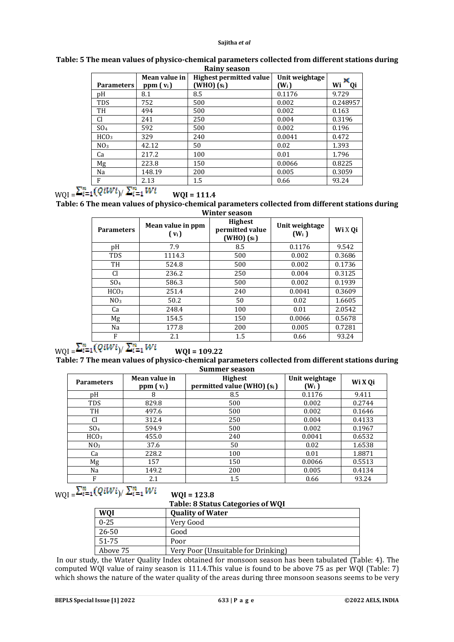|                   | Mean value in | <b>Highest permitted value</b> | Unit weightage |                 |
|-------------------|---------------|--------------------------------|----------------|-----------------|
| <b>Parameters</b> | $ppm(v_i)$    | $(WHO)$ $(si)$                 | $(W_i)$        | Wi<br><b>Qi</b> |
| рH                | 8.1           | 8.5                            | 0.1176         | 9.729           |
| <b>TDS</b>        | 752           | 500                            | 0.002          | 0.248957        |
| TH                | 494           | 500                            | 0.002          | 0.163           |
| Cl                | 241           | 250                            | 0.004          | 0.3196          |
| SO <sub>4</sub>   | 592           | 500                            | 0.002          | 0.196           |
| HCO <sub>3</sub>  | 329           | 240                            | 0.0041         | 0.472           |
| NO <sub>3</sub>   | 42.12         | 50                             | 0.02           | 1.393           |
| Ca                | 217.2         | 100                            | 0.01           | 1.796           |
| Mg                | 223.8         | 150                            | 0.0066         | 0.8225          |
| Na                | 148.19        | 200                            | 0.005          | 0.3059          |
| F                 | 2.13          | 1.5                            | 0.66           | 93.24           |

**Table: 5 The mean values of physico-chemical parameters collected from different stations during Rainy season**

 $WQI =$  $WQI = 11.4$ )/

**Table: 6 The mean values of physico-chemical parameters collected from different stations during Winter season**

| <b>Parameters</b> | Mean value in ppm<br>$(v_i)$ | <b>Highest</b><br>permitted value<br>$(WHO)$ $(s_i)$ | Unit weightage<br>$(W_i)$ | Wi X Qi |
|-------------------|------------------------------|------------------------------------------------------|---------------------------|---------|
| pH                | 7.9                          | 8.5                                                  | 0.1176                    | 9.542   |
| <b>TDS</b>        | 1114.3                       | 500                                                  | 0.002                     | 0.3686  |
| TH                | 524.8                        | 500                                                  | 0.002                     | 0.1736  |
| Cl                | 236.2                        | 250                                                  | 0.004                     | 0.3125  |
| SO <sub>4</sub>   | 586.3                        | 500                                                  | 0.002                     | 0.1939  |
| HCO <sub>3</sub>  | 251.4                        | 240                                                  | 0.0041                    | 0.3609  |
| NO <sub>3</sub>   | 50.2                         | 50                                                   | 0.02                      | 1.6605  |
| Ca                | 248.4                        | 100                                                  | 0.01                      | 2.0542  |
| Mg                | 154.5                        | 150                                                  | 0.0066                    | 0.5678  |
| Na                | 177.8                        | 200                                                  | 0.005                     | 0.7281  |
| F                 | 2.1                          | 1.5                                                  | 0.66                      | 93.24   |

# $WQI = \frac{\sum_{i=1}^{n} (QIWI)}{\sum_{i=1}^{n} WI}$   $WQI = 109.22$

**Table: 7 The mean values of physico-chemical parameters collected from different stations during Summer season**

| <b>Parameters</b> | Mean value in<br>$ppm(v_i)$ | <b>Highest</b><br>permitted value (WHO) $(s_i)$ | Unit weightage<br>$(W_i)$ | Wi X Oi |
|-------------------|-----------------------------|-------------------------------------------------|---------------------------|---------|
| рH                | 8                           | 8.5                                             | 0.1176                    | 9.411   |
| <b>TDS</b>        | 829.8                       | 500                                             | 0.002                     | 0.2744  |
| TH                | 497.6                       | 500                                             | 0.002                     | 0.1646  |
| <b>Cl</b>         | 312.4                       | 250                                             | 0.004                     | 0.4133  |
| SO <sub>4</sub>   | 594.9                       | 500                                             | 0.002                     | 0.1967  |
| HCO <sub>3</sub>  | 455.0                       | 240                                             | 0.0041                    | 0.6532  |
| NO <sub>3</sub>   | 37.6                        | 50                                              | 0.02                      | 1.6538  |
| Ca                | 228.2                       | 100                                             | 0.01                      | 1.8871  |
| Mg                | 157                         | 150                                             | 0.0066                    | 0.5513  |
| Na                | 149.2                       | 200                                             | 0.005                     | 0.4134  |
| F                 | 2.1                         | 1.5                                             | 0.66                      | 93.24   |

# $WQI = \frac{\sum_{i=1}^{n} (QIWI)}{\sum_{i=1}^{n} WI}$   $WQI = 123.8$

**Table: 8 Status Categories of WQI**

| WQI       | <b>Quality of Water</b>             |
|-----------|-------------------------------------|
| $0 - 25$  | Very Good                           |
| $26 - 50$ | Good                                |
| 51-75     | Poor                                |
| Above 75  | Very Poor (Unsuitable for Drinking) |

In our study, the Water Quality Index obtained for monsoon season has been tabulated (Table: 4). The computed WQI value of rainy season is 111.4.This value is found to be above 75 as per WQI (Table: 7) which shows the nature of the water quality of the areas during three monsoon seasons seems to be very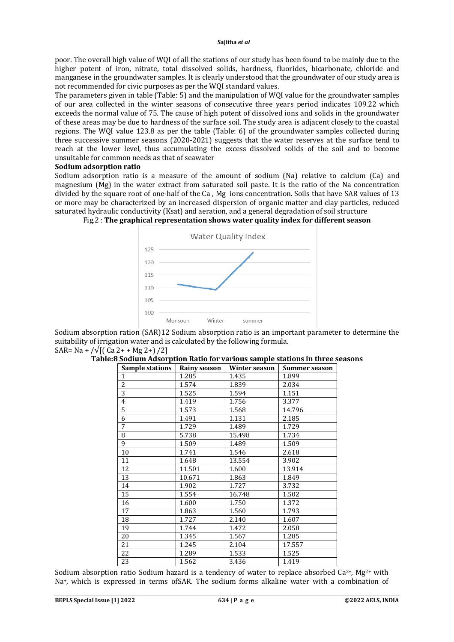poor. The overall high value of WQI of all the stations of our study has been found to be mainly due to the higher potent of iron, nitrate, total dissolved solids, hardness, fluorides, bicarbonate, chloride and manganese in the groundwater samples. It is clearly understood that the groundwater of our study area is not recommended for civic purposes as per the WQI standard values.

The parameters given in table (Table: 5) and the manipulation of WQI value for the groundwater samples of our area collected in the winter seasons of consecutive three years period indicates 109.22 which exceeds the normal value of 75. The cause of high potent of dissolved ions and solids in the groundwater of these areas may be due to hardness of the surface soil. The study area is adjacent closely to the coastal regions. The WQI value 123.8 as per the table (Table: 6) of the groundwater samples collected during three successive summer seasons (2020-2021) suggests that the water reserves at the surface tend to reach at the lower level, thus accumulating the excess dissolved solids of the soil and to become unsuitable for common needs as that of seawater

#### **Sodium adsorption ratio**

Sodium adsorption ratio is a measure of the amount of sodium (Na) relative to calcium (Ca) and magnesium (Mg) in the water extract from saturated soil paste. It is the ratio of the Na concentration divided by the square root of one-half of the Ca , Mg ions concentration. Soils that have SAR values of 13 or more may be characterized by an increased dispersion of organic matter and clay particles, reduced saturated hydraulic conductivity (Ksat) and aeration, and a general degradation of soil structure



## Fig.2 : **The graphical representation shows water quality index for different season**

Sodium absorption ration (SAR)12 Sodium absorption ratio is an important parameter to determine the suitability of irrigation water and is calculated by the following formula. SAR= Na + / $\sqrt{[($  Ca 2+ + Mg 2+) /2]

| <b>Sample stations</b> | Rainy season | <b>Winter season</b> | Summer season |
|------------------------|--------------|----------------------|---------------|
| $\mathbf{1}$           | 1.285        | 1.435                | 1.899         |
| $\overline{c}$         | 1.574        | 1.839                | 2.034         |
| $\overline{3}$         | 1.525        | 1.594                | 1.151         |
| $\overline{4}$         | 1.419        | 1.756                | 3.377         |
| 5                      | 1.573        | 1.568                | 14.796        |
| 6                      | 1.491        | 1.131                | 2.185         |
| 7                      | 1.729        | 1.489                | 1.729         |
| 8                      | 5.738        | 15.498               | 1.734         |
| 9                      | 1.509        | 1.489                | 1.509         |
| 10                     | 1.741        | 1.546                | 2.618         |
| 11                     | 1.648        | 13.554               | 3.902         |
| 12                     | 11.501       | 1.600                | 13.914        |
| 13                     | 10.671       | 1.863                | 1.849         |
| 14                     | 1.902        | 1.727                | 3.732         |
| 15                     | 1.554        | 16.748               | 1.502         |
| 16                     | 1.600        | 1.750                | 1.372         |
| 17                     | 1.863        | 1.560                | 1.793         |
| 18                     | 1.727        | 2.140                | 1.607         |
| 19                     | 1.744        | 1.472                | 2.058         |
| 20                     | 1.345        | 1.567                | 1.285         |
| 21                     | 1.245        | 2.104                | 17.557        |
| 22                     | 1.289        | 1.533                | 1.525         |
| 23                     | 1.562        | 3.436                | 1.419         |

#### **Table:8 Sodium Adsorption Ratio for various sample stations in three seasons**

Sodium absorption ratio Sodium hazard is a tendency of water to replace absorbed  $Ca^{2+}$ , Mg<sup>2+</sup> with Na+, which is expressed in terms ofSAR. The sodium forms alkaline water with a combination of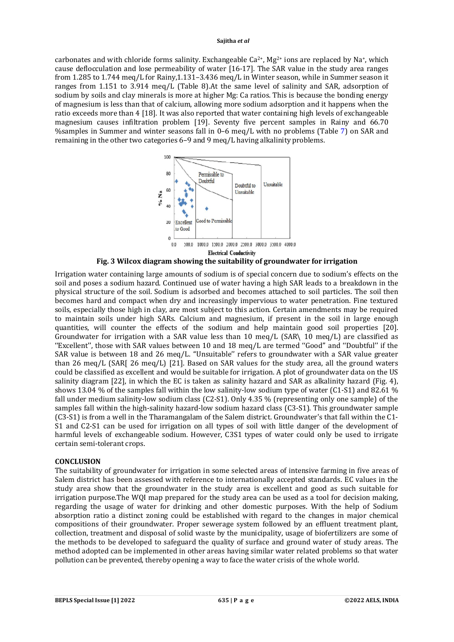carbonates and with chloride forms salinity. Exchangeable  $Ca^{2+}$ , Mg<sup>2+</sup> ions are replaced by Na+, which cause deflocculation and lose permeability of water [16-17]. The SAR value in the study area ranges from 1.285 to 1.744 meq/L for Rainy,1.131–3.436 meq/L in Winter season, while in Summer season it ranges from 1.151 to 3.914 meq/L (Table 8).At the same level of salinity and SAR, adsorption of sodium by soils and clay minerals is more at higher Mg: Ca ratios. This is because the bonding energy of magnesium is less than that of calcium, allowing more sodium adsorption and it happens when the ratio exceeds more than 4 [18]. It was also reported that water containing high levels of exchangeable magnesium causes infiltration problem [19]. Seventy five percent samples in Rainy and 66.70 %samples in Summer and winter seasons fall in 0–6 meq/L with no problems (Table 7) on SAR and remaining in the other two categories 6–9 and 9 meq/L having alkalinity problems.



**Fig. 3 Wilcox diagram showing the suitability of groundwater for irrigation**

Irrigation water containing large amounts of sodium is of special concern due to sodium's effects on the soil and poses a sodium hazard. Continued use of water having a high SAR leads to a breakdown in the physical structure of the soil. Sodium is adsorbed and becomes attached to soil particles. The soil then becomes hard and compact when dry and increasingly impervious to water penetration. Fine textured soils, especially those high in clay, are most subject to this action. Certain amendments may be required to maintain soils under high SARs. Calcium and magnesium, if present in the soil in large enough quantities, will counter the effects of the sodium and help maintain good soil properties [20]. Groundwater for irrigation with a SAR value less than 10 meq/L (SAR\ 10 meq/L) are classified as ''Excellent'', those with SAR values between 10 and 18 meq/L are termed ''Good'' and ''Doubtful'' if the SAR value is between 18 and 26 meq/L. "Unsuitable" refers to groundwater with a SAR value greater than 26 meg/L (SARI 26 meg/L) [21]. Based on SAR values for the study area, all the ground waters could be classified as excellent and would be suitable for irrigation. A plot of groundwater data on the US salinity diagram [22], in which the EC is taken as salinity hazard and SAR as alkalinity hazard (Fig. 4), shows 13.04 % of the samples fall within the low salinity-low sodium type of water (C1-S1) and 82.61 % fall under medium salinity-low sodium class (C2-S1). Only 4.35 % (representing only one sample) of the samples fall within the high-salinity hazard-low sodium hazard class (C3-S1). This groundwater sample (C3-S1) is from a well in the Tharamangalam of the Salem district. Groundwater's that fall within the C1- S1 and C2-S1 can be used for irrigation on all types of soil with little danger of the development of harmful levels of exchangeable sodium. However, C3S1 types of water could only be used to irrigate certain semi-tolerant crops.

#### **CONCLUSION**

The suitability of groundwater for irrigation in some selected areas of intensive farming in five areas of Salem district has been assessed with reference to internationally accepted standards. EC values in the study area show that the groundwater in the study area is excellent and good as such suitable for irrigation purpose.The WQI map prepared for the study area can be used as a tool for decision making, regarding the usage of water for drinking and other domestic purposes. With the help of Sodium absorption ratio a distinct zoning could be established with regard to the changes in major chemical compositions of their groundwater. Proper sewerage system followed by an effluent treatment plant, collection, treatment and disposal of solid waste by the municipality, usage of biofertilizers are some of the methods to be developed to safeguard the quality of surface and ground water of study areas. The method adopted can be implemented in other areas having similar water related problems so that water pollution can be prevented, thereby opening a way to face the water crisis of the whole world.